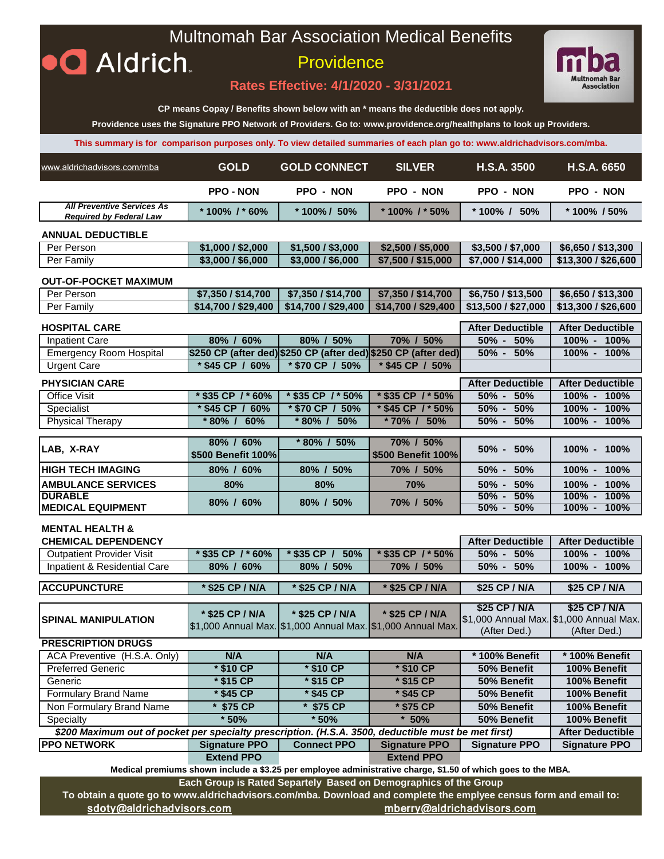# Multnomah Bar Association Medical Benefits



# **Providence**



### **Rates Effective: 4/1/2020 - 3/31/2021**

**CP means Copay / Benefits shown below with an \* means the deductible does not apply.**

**Providence uses the Signature PPO Network of Providers. Go to: www.providence.org/healthplans to look up Providers.**

**This summary is for comparison purposes only. To view detailed summaries of each plan go to: www.aldrichadvisors.com/mba.**

| www.aldrichadvisors.com/mba                                         | <b>GOLD</b>        | <b>GOLD CONNECT</b> | <b>SILVER</b>      | H.S.A.3500       | <b>H.S.A. 6650</b> |
|---------------------------------------------------------------------|--------------------|---------------------|--------------------|------------------|--------------------|
|                                                                     | <b>PPO - NON</b>   | <b>PPO - NON</b>    | <b>PPO - NON</b>   | <b>PPO - NON</b> | <b>PPO - NON</b>   |
| <b>All Preventive Services As</b><br><b>Required by Federal Law</b> | $*$ 100% / $*$ 60% | $*100\%$ / 50%      | $*$ 100% / $*$ 50% | 50%<br>$*100\%$  | $*$ 100% / 50%     |

#### **ANNUAL DEDUCTIBLE**

| Per Person | \$1.000 / \$2.000 | \$1.500 / \$3.000 | \$2.500 / \$5.000  | \$3.500 / \$7.000 | \$6.650 / \$13.300                   |
|------------|-------------------|-------------------|--------------------|-------------------|--------------------------------------|
| Per Family | \$3.000 / \$6.000 | \$3.000 / \$6.000 | \$7.500 / \$15.000 |                   | 57,000 / \$14,000 S13,300 / \$26,600 |

#### **OUT-OF-POCKET MAXIMUM**

| Per Person        | \$7.350 / \$14.700   \$7.350 / \$14.700 | $\frac{1}{2}$ \$7.350 / \$14.700 | $\vert$ \$6,750 / \$13,500 $\vert$ \$6,650 / \$13,300 |                                                                                                             |
|-------------------|-----------------------------------------|----------------------------------|-------------------------------------------------------|-------------------------------------------------------------------------------------------------------------|
| <b>Per Family</b> |                                         |                                  |                                                       | \$14,700 / \$29,400   \$14,700 / \$29,400   \$14,700 / \$29,400   \$13,500 / \$27,000   \$13,300 / \$26,600 |

| <b>HOSPITAL CARE</b>           |                       |                              |                                                                | <b>After Deductible</b>      | <b>After Deductible</b>        |
|--------------------------------|-----------------------|------------------------------|----------------------------------------------------------------|------------------------------|--------------------------------|
| <b>Inpatient Care</b>          | 60%<br>$80\%$ /       | 50%<br>$80\%$ /              | 50%<br>70% <i>I</i>                                            | $50\% -$<br>50%              | $100\% -$<br>100%              |
| <b>Emergency Room Hospital</b> |                       |                              | \$250 CP (after ded) \$250 CP (after ded) \$250 CP (after ded) | $50\% -$<br>50%              | $100\% -$<br>100%              |
| <b>Urgent Care</b>             | $*$ \$45 CP / 60%     | * \$70 CP /<br>50%           | * \$45 CP /<br>50%                                             |                              |                                |
| <b>PHYSICIAN CARE</b>          |                       |                              |                                                                | <b>After Deductible</b>      | <b>After Deductible</b>        |
| <b>Office Visit</b>            | $*$ \$35 CP / $*$ 60% | \$35 CP<br>50%<br>$\prime^*$ | \$35 CP $1*50%$                                                | 50%<br>50%<br>$\blacksquare$ | 100%<br>$100\% -$              |
| Specialist                     | * \$45 CP<br>60%      | * \$70 CP<br>50%             | $*$ \$45 CP<br>$1 * 50%$                                       | $50\% -$<br>50%              | 100%<br>100%                   |
| <b>Physical Therapy</b>        | 60%<br>$*80\%$ /      | $*80\%$ /<br>50%             | $*70\%$ /<br>50%                                               | $50\% -$<br>50%              | 100%<br>$100\% -$              |
|                                |                       |                              |                                                                |                              |                                |
| LAB, X-RAY                     | 80% / 60%             | 50%<br>$80\%$ /<br>*         | 70% / 50%                                                      | $50\% - 50\%$                | 100%<br>100% -                 |
|                                | \$500 Benefit 100%    |                              | \$500 Benefit 100%                                             |                              |                                |
| <b>IHIGH TECH IMAGING</b>      | 80% / 60%             | 80% / 50%                    | 70% / 50%                                                      | 50%<br>50%<br>$\blacksquare$ | $100\% -$<br>100%              |
| <b>AMBULANCE SERVICES</b>      | 80%                   | 80%                          | 70%                                                            | 50%<br>50%                   | 100%<br>100%<br>$\sim$         |
| <b>DURABLE</b>                 | 80% / 60%             | 80% / 50%                    | 70% / 50%                                                      | $50\% -$<br>50%              | 100%<br>$100\% -$              |
| <b>IMEDICAL EQUIPMENT</b>      |                       |                              |                                                                | $50\% -$<br><b>50%</b>       | 100%<br>100%<br>$\blacksquare$ |

#### **MENTAL HEALTH &**

| <b>CHEMICAL DEPENDENCY</b>                                                                                                     |                                                            |                                |                       | <b>After Deductible</b>                 | <b>After Deductible</b> |
|--------------------------------------------------------------------------------------------------------------------------------|------------------------------------------------------------|--------------------------------|-----------------------|-----------------------------------------|-------------------------|
| <b>Outpatient Provider Visit</b>                                                                                               | $*$ \$35 CP / $*$ 60%                                      | 50%<br>$*$ \$35 CP $\,$ / $\,$ | $*$ \$35 CP / $*$ 50% | $50\% -$<br>50%                         | 100% - 100%             |
| Inpatient & Residential Care                                                                                                   | $80\%$ / $60\%$                                            | 80% / 50%                      | 70% / 50%             | 50%<br>50% -                            | 100%<br>100% -          |
|                                                                                                                                |                                                            |                                |                       |                                         |                         |
| <b>ACCUPUNCTURE</b>                                                                                                            | * \$25 CP / N/A                                            | \$25 CP / N/A                  | * \$25 CP / N/A       | \$25 CP / N/A                           | \$25 CP / N/A           |
|                                                                                                                                |                                                            |                                |                       |                                         |                         |
|                                                                                                                                | * \$25 CP / N/A                                            | * \$25 CP / N/A                | * \$25 CP / N/A       | \$25 CP / N/A                           | \$25 CP / N/A           |
| <b>SPINAL MANIPULATION</b>                                                                                                     |                                                            |                                |                       | \$1,000 Annual Max. \$1,000 Annual Max. |                         |
|                                                                                                                                | \$1,000 Annual Max. 51,000 Annual Max. \$1,000 Annual Max. |                                |                       | (After Ded.)                            | (After Ded.)            |
| <b>PRESCRIPTION DRUGS</b>                                                                                                      |                                                            |                                |                       |                                         |                         |
| ACA Preventive (H.S.A. Only)                                                                                                   | N/A                                                        | N/A                            | N/A                   | * 100% Benefit                          | * 100% Benefit          |
| <b>Preferred Generic</b>                                                                                                       | * \$10 CP                                                  | * \$10 CP                      | * \$10 CP             | 50% Benefit                             | 100% Benefit            |
| Generic                                                                                                                        | * \$15 CP                                                  | * \$15 CP                      | * \$15 CP             | 50% Benefit                             | 100% Benefit            |
| <b>Formulary Brand Name</b>                                                                                                    | * \$45 CP                                                  | * \$45 CP                      | * \$45 CP             | 50% Benefit                             | 100% Benefit            |
| Non Formulary Brand Name                                                                                                       | * \$75 CP                                                  | * \$75 CP                      | * \$75 CP             | 50% Benefit                             | 100% Benefit            |
| Specialty                                                                                                                      | $*50%$                                                     | $*50%$                         | $* 50%$               | 50% Benefit                             | 100% Benefit            |
| \$200 Maximum out of pocket per specialty prescription. (H.S.A. 3500, deductible must be met first)<br><b>After Deductible</b> |                                                            |                                |                       |                                         |                         |
| <b>IPPO NETWORK</b>                                                                                                            | <b>Signature PPO</b>                                       | <b>Connect PPO</b>             | <b>Signature PPO</b>  | <b>Signature PPO</b>                    | <b>Signature PPO</b>    |
|                                                                                                                                | <b>Extend PPO</b>                                          |                                | <b>Extend PPO</b>     |                                         |                         |
| Medical premiums shown include a \$3.25 per employee administrative charge, \$1.50 of which goes to the MBA.                   |                                                            |                                |                       |                                         |                         |

**Each Group is Rated Separtely Based on Demographics of the Group**

**To obtain a quote go to www.aldrichadvisors.com/mba. Download and complete the emplyee census form and email to:** [sdoty@aldrichadvis](mailto:sdoty@aldrichadvisors.com)ors.com [mberry@aldric](mailto:mberry@aldrichadvisors.com)hadvisors.com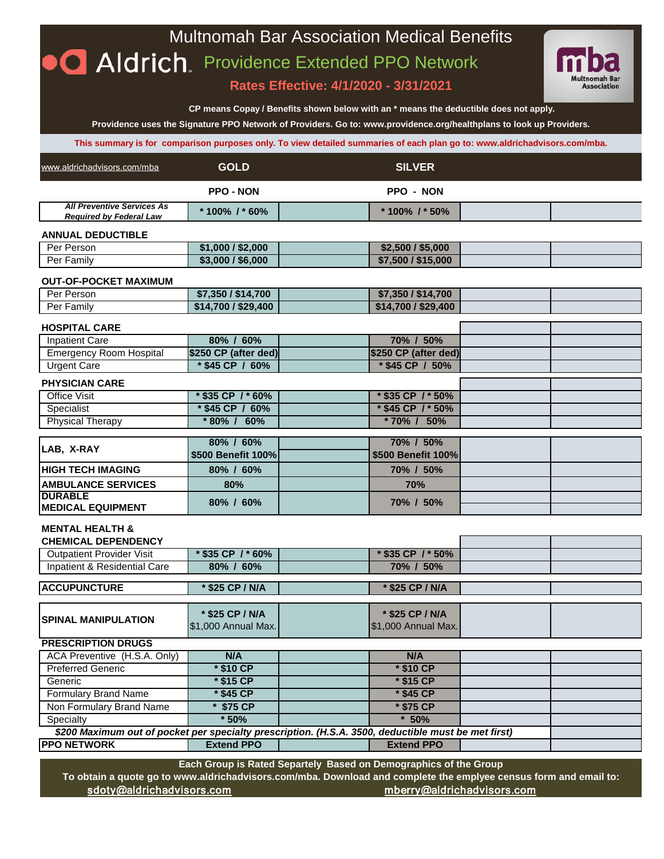|                                                                     |                                        | <b>Multnomah Bar Association Medical Benefits</b>                                                                                                                                                           |             |
|---------------------------------------------------------------------|----------------------------------------|-------------------------------------------------------------------------------------------------------------------------------------------------------------------------------------------------------------|-------------|
|                                                                     |                                        | <b>O Aldrich</b> Providence Extended PPO Network                                                                                                                                                            |             |
|                                                                     |                                        | Rates Effective: 4/1/2020 - 3/31/2021                                                                                                                                                                       | Association |
|                                                                     |                                        | CP means Copay / Benefits shown below with an * means the deductible does not apply.<br>Providence uses the Signature PPO Network of Providers. Go to: www.providence.org/healthplans to look up Providers. |             |
|                                                                     |                                        | This summary is for comparison purposes only. To view detailed summaries of each plan go to: www.aldrichadvisors.com/mba.                                                                                   |             |
| www.aldrichadvisors.com/mba                                         | <b>GOLD</b>                            | <b>SILVER</b>                                                                                                                                                                                               |             |
|                                                                     | <b>PPO - NON</b>                       | PPO - NON                                                                                                                                                                                                   |             |
| <b>All Preventive Services As</b><br><b>Required by Federal Law</b> | $*$ 100% / $*$ 60%                     | * 100% / * 50%                                                                                                                                                                                              |             |
| <b>ANNUAL DEDUCTIBLE</b>                                            |                                        |                                                                                                                                                                                                             |             |
| Per Person                                                          | \$1,000 / \$2,000                      | \$2,500 / \$5,000                                                                                                                                                                                           |             |
| Per Family                                                          | \$3,000 / \$6,000                      | \$7,500 / \$15,000                                                                                                                                                                                          |             |
| <b>OUT-OF-POCKET MAXIMUM</b>                                        |                                        |                                                                                                                                                                                                             |             |
| Per Person                                                          | \$7,350 / \$14,700                     | \$7,350 / \$14,700                                                                                                                                                                                          |             |
| Per Family                                                          | \$14,700 / \$29,400                    | \$14,700 / \$29,400                                                                                                                                                                                         |             |
|                                                                     |                                        |                                                                                                                                                                                                             |             |
| <b>HOSPITAL CARE</b>                                                |                                        |                                                                                                                                                                                                             |             |
| <b>Inpatient Care</b><br><b>Emergency Room Hospital</b>             | 80% / 60%<br>\$250 CP (after ded)      | 70% / 50%<br>\$250 CP (after ded)                                                                                                                                                                           |             |
| <b>Urgent Care</b>                                                  | * \$45 CP / 60%                        | * \$45 CP / 50%                                                                                                                                                                                             |             |
|                                                                     |                                        |                                                                                                                                                                                                             |             |
| <b>PHYSICIAN CARE</b>                                               |                                        |                                                                                                                                                                                                             |             |
| <b>Office Visit</b><br>Specialist                                   | * \$35 CP / * 60%<br>* \$45 CP / 60%   | * \$35 CP / * 50%<br>* \$45 CP / * 50%                                                                                                                                                                      |             |
| <b>Physical Therapy</b>                                             | $*80\%$ / 60%                          | * 70% / 50%                                                                                                                                                                                                 |             |
|                                                                     |                                        |                                                                                                                                                                                                             |             |
| LAB, X-RAY                                                          | 80% / 60%                              | 70% / 50%                                                                                                                                                                                                   |             |
|                                                                     | \$500 Benefit 100%                     | \$500 Benefit 100%                                                                                                                                                                                          |             |
| <b>HIGH TECH IMAGING</b>                                            | 80% / 60%                              | 70% / 50%                                                                                                                                                                                                   |             |
| <b>AMBULANCE SERVICES</b>                                           | 80%                                    | 70%                                                                                                                                                                                                         |             |
| <b>DURABLE</b><br><b>MEDICAL EQUIPMENT</b>                          | 80% / 60%                              | 70% / 50%                                                                                                                                                                                                   |             |
|                                                                     |                                        |                                                                                                                                                                                                             |             |
| <b>MENTAL HEALTH &amp;</b><br><b>CHEMICAL DEPENDENCY</b>            |                                        |                                                                                                                                                                                                             |             |
| <b>Outpatient Provider Visit</b>                                    | * \$35 CP / * 60%                      | * \$35 CP / * 50%                                                                                                                                                                                           |             |
| Inpatient & Residential Care                                        | 80% / 60%                              | 70% / 50%                                                                                                                                                                                                   |             |
|                                                                     |                                        |                                                                                                                                                                                                             |             |
| <b>ACCUPUNCTURE</b>                                                 | * \$25 CP / N/A                        | * \$25 CP / N/A                                                                                                                                                                                             |             |
| <b>SPINAL MANIPULATION</b>                                          | * \$25 CP / N/A<br>\$1,000 Annual Max. | * \$25 CP / N/A<br>\$1,000 Annual Max.                                                                                                                                                                      |             |
| <b>PRESCRIPTION DRUGS</b>                                           |                                        |                                                                                                                                                                                                             |             |
| ACA Preventive (H.S.A. Only)                                        | N/A                                    | N/A                                                                                                                                                                                                         |             |
| <b>Preferred Generic</b>                                            | * \$10 CP                              | * \$10 CP                                                                                                                                                                                                   |             |
| Generic                                                             | * \$15 CP                              | * \$15 CP                                                                                                                                                                                                   |             |
| <b>Formulary Brand Name</b><br>Non Formulary Brand Name             | * \$45 CP<br>* \$75 CP                 | * \$45 CP<br>* \$75 CP                                                                                                                                                                                      |             |
| Specialty                                                           | $*50%$                                 | $* 50\%$                                                                                                                                                                                                    |             |
|                                                                     |                                        | \$200 Maximum out of pocket per specialty prescription. (H.S.A. 3500, deductible must be met first)                                                                                                         |             |

**PPO NETWORK Extend PPO Extend PPO Each Group is Rated Separtely Based on Demographics of the Group**

**To obtain a quote go to www.aldrichadvisors.com/mba. Download and complete the emplyee census form and email to:** [sdoty@aldrichadvis](mailto:sdoty@aldrichadvisors.com)ors.com [mberry@aldric](mailto:mberry@aldrichadvisors.com)hadvisors.com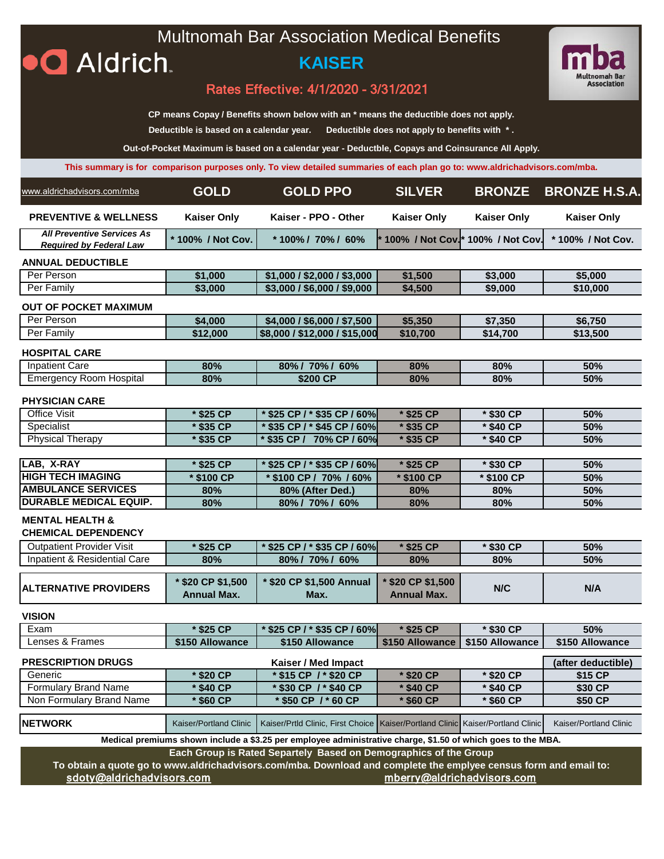### Multnomah Bar Association Medical Benefits **O** Aldrich. **KAISER**



### Rates Effective: 4/1/2020 - 3/31/2021

**CP means Copay / Benefits shown below with an \* means the deductible does not apply.**

**Deductible is based on a calendar year. Deductible does not apply to benefits with \* .**

**Out-of-Pocket Maximum is based on a calendar year - Deductble, Copays and Coinsurance All Apply.**

**This summary is for comparison purposes only. To view detailed summaries of each plan go to: www.aldrichadvisors.com/mba.**

| www.aldrichadvisors.com/mba                                         | <b>GOLD</b>                             | <b>GOLD PPO</b>                                                                                                  | <b>SILVER</b>                           | <b>BRONZE</b>                   | <b>BRONZE H.S.A.</b>   |
|---------------------------------------------------------------------|-----------------------------------------|------------------------------------------------------------------------------------------------------------------|-----------------------------------------|---------------------------------|------------------------|
| <b>PREVENTIVE &amp; WELLNESS</b>                                    | <b>Kaiser Only</b>                      | Kaiser - PPO - Other                                                                                             | <b>Kaiser Only</b>                      | <b>Kaiser Only</b>              | <b>Kaiser Only</b>     |
| <b>All Preventive Services As</b><br><b>Required by Federal Law</b> | * 100% / Not Cov.                       | * 100% / 70% / 60%                                                                                               |                                         | 100% / Not Cov. 100% / Not Cov. | * 100% / Not Cov.      |
| <b>ANNUAL DEDUCTIBLE</b>                                            |                                         |                                                                                                                  |                                         |                                 |                        |
| Per Person                                                          | \$1,000                                 | \$1,000 / \$2,000 / \$3,000                                                                                      | \$1,500                                 | \$3,000                         | \$5,000                |
| Per Family                                                          | \$3,000                                 | \$3,000 / \$6,000 / \$9,000                                                                                      | \$4,500                                 | \$9,000                         | \$10,000               |
| <b>OUT OF POCKET MAXIMUM</b>                                        |                                         |                                                                                                                  |                                         |                                 |                        |
| Per Person                                                          | \$4,000                                 | \$4,000 / \$6,000 / \$7,500                                                                                      | \$5,350                                 | \$7,350                         | \$6,750                |
| Per Family                                                          | \$12,000                                | \$8,000 / \$12,000 / \$15,000                                                                                    | \$10,700                                | \$14,700                        | \$13,500               |
| <b>HOSPITAL CARE</b>                                                |                                         |                                                                                                                  |                                         |                                 |                        |
| <b>Inpatient Care</b>                                               | 80%                                     | 80% / 70% / 60%                                                                                                  | 80%                                     | 80%                             | 50%                    |
| <b>Emergency Room Hospital</b>                                      | 80%                                     | \$200 CP                                                                                                         | 80%                                     | 80%                             | 50%                    |
| <b>PHYSICIAN CARE</b>                                               |                                         |                                                                                                                  |                                         |                                 |                        |
| <b>Office Visit</b>                                                 | * \$25 CP                               | * \$25 CP / * \$35 CP / 60%                                                                                      | * \$25 CP                               | * \$30 CP                       | 50%                    |
| Specialist                                                          | * \$35 CP                               | * \$35 CP / * \$45 CP / 60%                                                                                      | * \$35 CP                               | * \$40 CP                       | 50%                    |
| Physical Therapy                                                    | * \$35 CP                               | * \$35 CP / 70% CP / 60%                                                                                         | * \$35 CP                               | * \$40 CP                       | 50%                    |
|                                                                     |                                         |                                                                                                                  |                                         |                                 |                        |
| LAB, X-RAY                                                          | * \$25 CP                               | * \$25 CP / * \$35 CP / 60%                                                                                      | * \$25 CP                               | * \$30 CP                       | 50%                    |
| <b>HIGH TECH IMAGING</b>                                            | * \$100 CP                              | * \$100 CP / 70% / 60%                                                                                           | * \$100 CP                              | * \$100 CP                      | 50%                    |
| <b>AMBULANCE SERVICES</b>                                           | 80%                                     | 80% (After Ded.)                                                                                                 | 80%                                     | 80%                             | 50%                    |
| <b>DURABLE MEDICAL EQUIP.</b>                                       | 80%                                     | 80% / 70% / 60%                                                                                                  | 80%                                     | 80%                             | 50%                    |
| <b>MENTAL HEALTH &amp;</b><br><b>CHEMICAL DEPENDENCY</b>            |                                         |                                                                                                                  |                                         |                                 |                        |
| <b>Outpatient Provider Visit</b>                                    | * \$25 CP                               | * \$25 CP / * \$35 CP / 60%                                                                                      | * \$25 CP                               | * \$30 CP                       | 50%                    |
| Inpatient & Residential Care                                        | 80%                                     | 80% / 70% / 60%                                                                                                  | 80%                                     | 80%                             | 50%                    |
| <b>ALTERNATIVE PROVIDERS</b>                                        | * \$20 CP \$1,500<br><b>Annual Max.</b> | * \$20 CP \$1,500 Annual<br>Max.                                                                                 | * \$20 CP \$1,500<br><b>Annual Max.</b> | N/C                             | N/A                    |
| <b>VISION</b>                                                       |                                         |                                                                                                                  |                                         |                                 |                        |
| Exam                                                                | * \$25 CP                               | * \$25 CP / * \$35 CP / 60%                                                                                      | * \$25 CP                               | * \$30 CP                       | 50%                    |
| Lenses & Frames                                                     | \$150 Allowance                         | \$150 Allowance                                                                                                  | \$150 Allowance                         | \$150 Allowance                 | \$150 Allowance        |
| <b>PRESCRIPTION DRUGS</b>                                           |                                         | Kaiser / Med Impact                                                                                              |                                         |                                 | (after deductible)     |
| Generic                                                             | * \$20 CP                               | * \$15 CP / * \$20 CP                                                                                            | * \$20 CP                               | * \$20 CP                       | \$15 CP                |
| <b>Formulary Brand Name</b>                                         | * \$40 CP                               | * \$30 CP / * \$40 CP                                                                                            | * \$40 CP                               | * \$40 CP                       | \$30 CP                |
| Non Formulary Brand Name                                            | * \$60 CP                               | * \$50 CP / * 60 CP                                                                                              | * \$60 CP                               | $*$ \$60 CP                     | \$50 CP                |
| <b>NETWORK</b>                                                      | Kaiser/Portland Clinic                  | Kaiser/Prtld Clinic, First Choice   Kaiser/Portland Clinic   Kaiser/Portland Clinic                              |                                         |                                 | Kaiser/Portland Clinic |
|                                                                     |                                         | Medical premiums shown include a \$3.25 per employee administrative charge, \$1.50 of which goes to the MBA.     |                                         |                                 |                        |
|                                                                     |                                         | Each Group is Rated Separtely Based on Demographics of the Group                                                 |                                         |                                 |                        |
|                                                                     |                                         | To obtain a quote go to www.aldrichadvisors.com/mba. Download and complete the emplyee census form and email to: |                                         |                                 |                        |

[sdoty@aldrichadvis](mailto:sdoty@aldrichadvisors.com)ors.com [mberry@aldric](mailto:mberry@aldrichadvisors.com)hadvisors.com